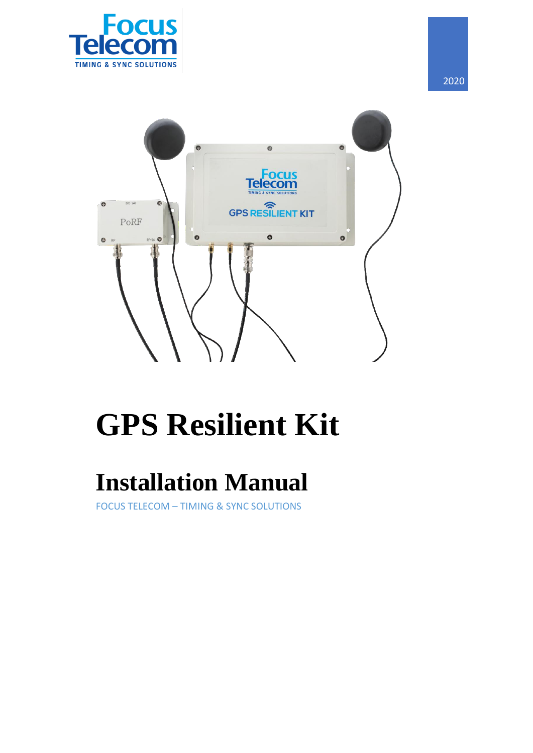

 $\bullet$ 

 $\bullet$  $\bullet$ **Focus**<br>Telecom **GPS RESILIENT KIT** PoRF  $\bullet$  $\bullet$  $\bullet$ RF+DC ©

# **GPS Resilient Kit**

## **Installation Manual**

FOCUS TELECOM – TIMING & SYNC SOLUTIONS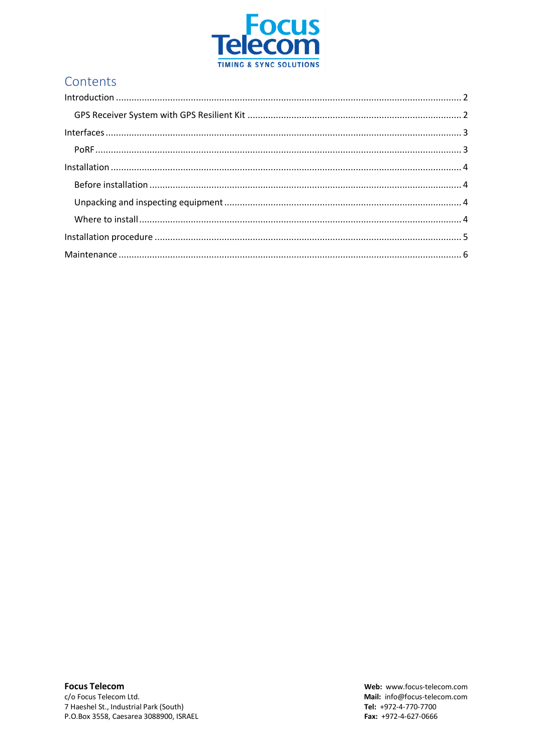

## Contents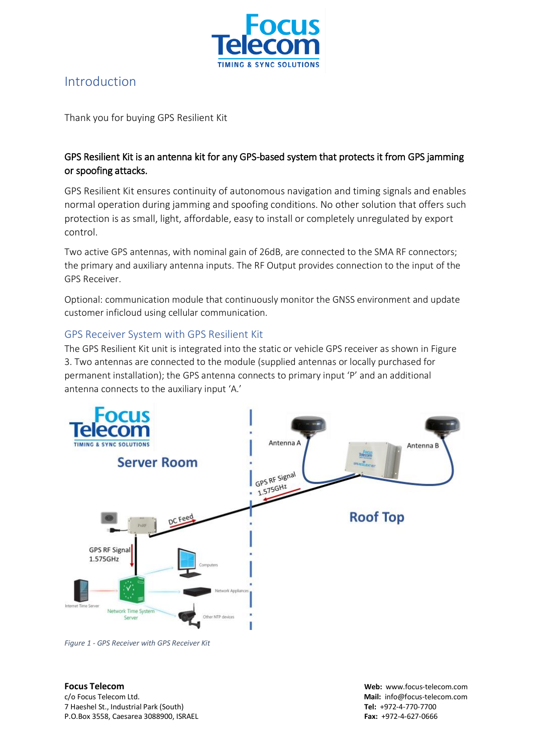

### <span id="page-2-0"></span>Introduction

Thank you for buying GPS Resilient Kit

#### GPS Resilient Kit is an antenna kit for any GPS-based system that protects it from GPS jamming or spoofing attacks.

GPS Resilient Kit ensures continuity of autonomous navigation and timing signals and enables normal operation during jamming and spoofing conditions. No other solution that offers such protection is as small, light, affordable, easy to install or completely unregulated by export control.

Two active GPS antennas, with nominal gain of 26dB, are connected to the SMA RF connectors; the primary and auxiliary antenna inputs. The RF Output provides connection to the input of the GPS Receiver.

Optional: communication module that continuously monitor the GNSS environment and update customer inficloud using cellular communication.

#### <span id="page-2-1"></span>GPS Receiver System with GPS Resilient Kit

The GPS Resilient Kit unit is integrated into the static or vehicle GPS receiver as shown in Figure 3. Two antennas are connected to the module (supplied antennas or locally purchased for permanent installation); the GPS antenna connects to primary input 'P' and an additional antenna connects to the auxiliary input 'A.'



*Figure 1 - GPS Receiver with GPS Receiver Kit*

c/o Focus Telecom Ltd. **Mail:** info@focus-telecom.com 7 Haeshel St., Industrial Park (South) **Tel:** +972-4-770-7700 P.O.Box 3558, Caesarea 3088900, ISRAEL **Fax:** +972-4-627-0666

**Focus Telecom Web:** www.focus-telecom.com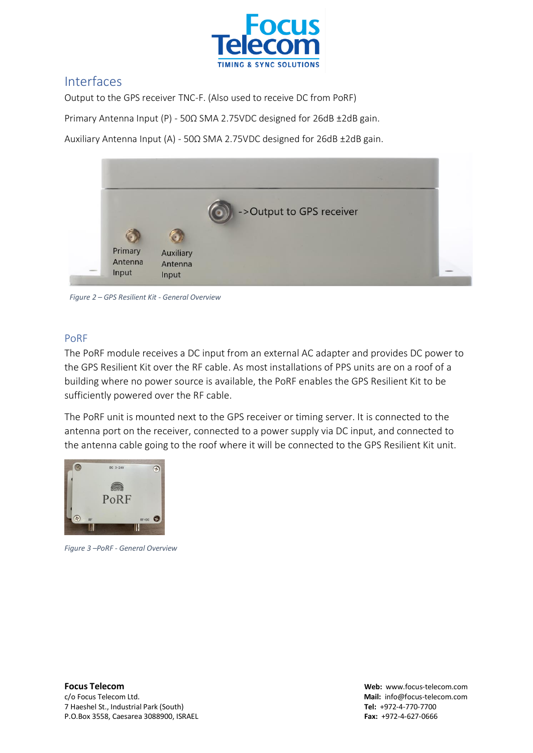

#### <span id="page-3-0"></span>Interfaces

Output to the GPS receiver TNC-F. (Also used to receive DC from PoRF)

Primary Antenna Input (P) - 50Ω SMA 2.75VDC designed for 26dB ±2dB gain.

Auxiliary Antenna Input (A) - 50Ω SMA 2.75VDC designed for 26dB ±2dB gain.



*Figure 2 – GPS Resilient Kit - General Overview*

#### <span id="page-3-1"></span>PoRF

The PoRF module receives a DC input from an external AC adapter and provides DC power to the GPS Resilient Kit over the RF cable. As most installations of PPS units are on a roof of a building where no power source is available, the PoRF enables the GPS Resilient Kit to be sufficiently powered over the RF cable.

The PoRF unit is mounted next to the GPS receiver or timing server. It is connected to the antenna port on the receiver, connected to a power supply via DC input, and connected to the antenna cable going to the roof where it will be connected to the GPS Resilient Kit unit.



*Figure 3 –PoRF - General Overview*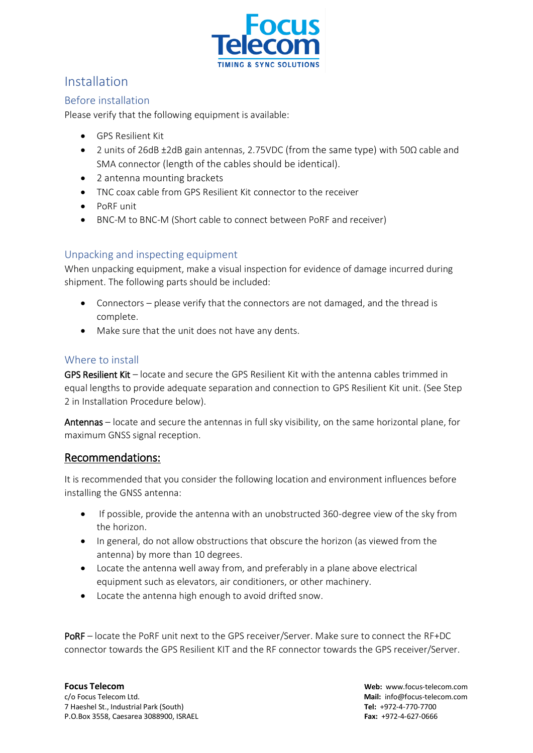

#### <span id="page-4-0"></span>Installation

#### <span id="page-4-1"></span>Before installation

Please verify that the following equipment is available:

- GPS Resilient Kit
- 2 units of 26dB ±2dB gain antennas, 2.75VDC (from the same type) with 50Ω cable and SMA connector (length of the cables should be identical).
- 2 antenna mounting brackets
- TNC coax cable from GPS Resilient Kit connector to the receiver
- PoRF unit
- BNC-M to BNC-M (Short cable to connect between PoRF and receiver)

#### <span id="page-4-2"></span>Unpacking and inspecting equipment

When unpacking equipment, make a visual inspection for evidence of damage incurred during shipment. The following parts should be included:

- Connectors please verify that the connectors are not damaged, and the thread is complete.
- Make sure that the unit does not have any dents.

#### <span id="page-4-3"></span>Where to install

GPS Resilient Kit – locate and secure the GPS Resilient Kit with the antenna cables trimmed in equal lengths to provide adequate separation and connection to GPS Resilient Kit unit. (See Step 2 in Installation Procedure below).

Antennas – locate and secure the antennas in full sky visibility, on the same horizontal plane, for maximum GNSS signal reception.

#### Recommendations:

It is recommended that you consider the following location and environment influences before installing the GNSS antenna:

- If possible, provide the antenna with an unobstructed 360-degree view of the sky from the horizon.
- In general, do not allow obstructions that obscure the horizon (as viewed from the antenna) by more than 10 degrees.
- Locate the antenna well away from, and preferably in a plane above electrical equipment such as elevators, air conditioners, or other machinery.
- Locate the antenna high enough to avoid drifted snow.

PoRF – locate the PoRF unit next to the GPS receiver/Server. Make sure to connect the RF+DC connector towards the GPS Resilient KIT and the RF connector towards the GPS receiver/Server.

c/o Focus Telecom Ltd. **Mail:** info@focus-telecom.com 7 Haeshel St., Industrial Park (South) **Tel:** +972-4-770-7700 P.O.Box 3558, Caesarea 3088900, ISRAEL **Fax:** +972-4-627-0666

**Focus Telecom Web:** www.focus-telecom.com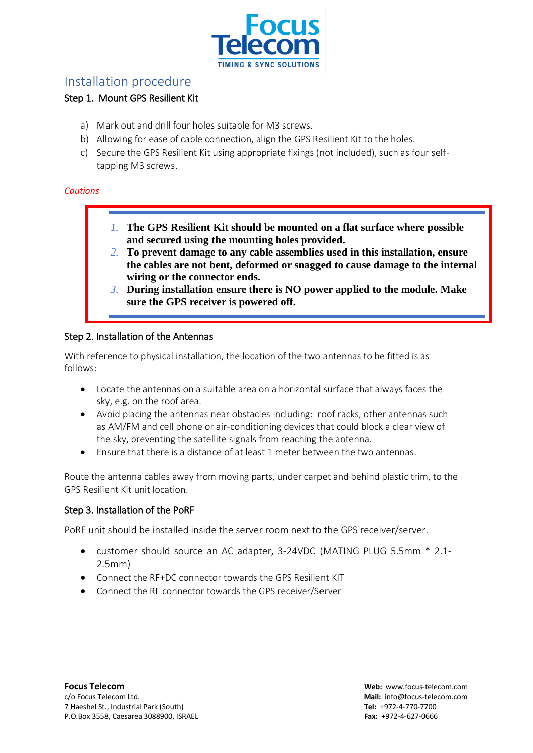

#### <span id="page-5-0"></span>Installation procedure

#### Step 1. Mount GPS Resilient Kit

- a) Mark out and drill four holes suitable for M3 screws.
- b) Allowing for ease of cable connection, align the GPS Resilient Kit to the holes.
- c) Secure the GPS Resilient Kit using appropriate fixings (not included), such as four selftapping M3 screws.

#### *Cautions*

- *1.* **The GPS Resilient Kit should be mounted on a flat surface where possible and secured using the mounting holes provided.**
- *2.* **To prevent damage to any cable assemblies used in this installation, ensure the cables are not bent, deformed or snagged to cause damage to the internal wiring or the connector ends.**
- *3.* **During installation ensure there is NO power applied to the module. Make sure the GPS receiver is powered off.**

#### Step 2. Installation of the Antennas

With reference to physical installation, the location of the two antennas to be fitted is as follows:

- Locate the antennas on a suitable area on a horizontal surface that always faces the sky, e.g. on the roof area.
- Avoid placing the antennas near obstacles including: roof racks, other antennas such as AM/FM and cell phone or air-conditioning devices that could block a clear view of the sky, preventing the satellite signals from reaching the antenna.
- Ensure that there is a distance of at least 1 meter between the two antennas.

Route the antenna cables away from moving parts, under carpet and behind plastic trim, to the GPS Resilient Kit unit location.

#### Step 3. Installation of the PoRF

PoRF unit should be installed inside the server room next to the GPS receiver/server.

- customer should source an AC adapter, 3-24VDC (MATING PLUG 5.5mm \* 2.1- 2.5mm)
- Connect the RF+DC connector towards the GPS Resilient KIT
- Connect the RF connector towards the GPS receiver/Server